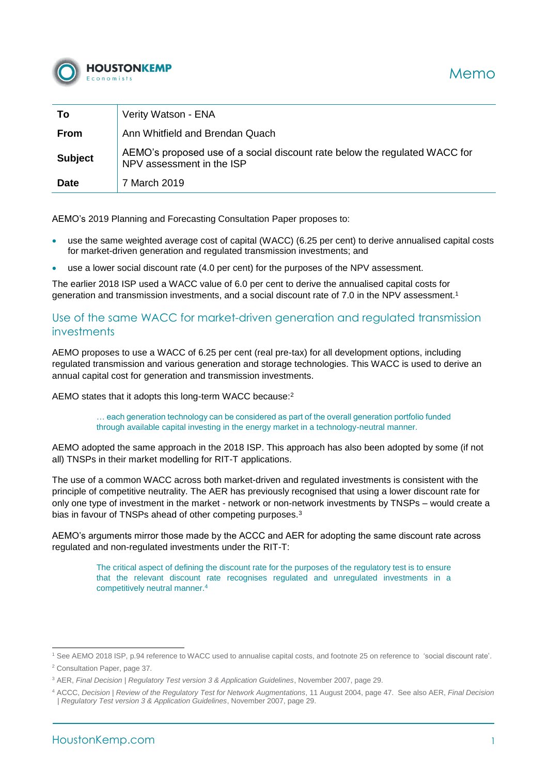

| To             | Verity Watson - ENA                                                                                     |
|----------------|---------------------------------------------------------------------------------------------------------|
| From           | Ann Whitfield and Brendan Quach                                                                         |
| <b>Subject</b> | AEMO's proposed use of a social discount rate below the regulated WACC for<br>NPV assessment in the ISP |
| <b>Date</b>    | 7 March 2019                                                                                            |

AEMO's 2019 Planning and Forecasting Consultation Paper proposes to:

- use the same weighted average cost of capital (WACC) (6.25 per cent) to derive annualised capital costs for market-driven generation and regulated transmission investments; and
- use a lower social discount rate (4.0 per cent) for the purposes of the NPV assessment.

The earlier 2018 ISP used a WACC value of 6.0 per cent to derive the annualised capital costs for generation and transmission investments, and a social discount rate of 7.0 in the NPV assessment.<sup>1</sup>

## Use of the same WACC for market-driven generation and regulated transmission investments

AEMO proposes to use a WACC of 6.25 per cent (real pre-tax) for all development options, including regulated transmission and various generation and storage technologies. This WACC is used to derive an annual capital cost for generation and transmission investments.

AEMO states that it adopts this long-term WACC because:<sup>2</sup>

… each generation technology can be considered as part of the overall generation portfolio funded through available capital investing in the energy market in a technology-neutral manner.

AEMO adopted the same approach in the 2018 ISP. This approach has also been adopted by some (if not all) TNSPs in their market modelling for RIT-T applications.

The use of a common WACC across both market-driven and regulated investments is consistent with the principle of competitive neutrality. The AER has previously recognised that using a lower discount rate for only one type of investment in the market - network or non-network investments by TNSPs – would create a bias in favour of TNSPs ahead of other competing purposes.<sup>3</sup>

AEMO's arguments mirror those made by the ACCC and AER for adopting the same discount rate across regulated and non-regulated investments under the RIT-T:

> The critical aspect of defining the discount rate for the purposes of the regulatory test is to ensure that the relevant discount rate recognises regulated and unregulated investments in a competitively neutral manner.<sup>4</sup>

<sup>1</sup> <sup>1</sup> See AEMO 2018 ISP, p.94 reference to WACC used to annualise capital costs, and footnote 25 on reference to 'social discount rate'.

<sup>2</sup> Consultation Paper, page 37.

<sup>3</sup> AER, *Final Decision | Regulatory Test version 3 & Application Guidelines*, November 2007, page 29.

<sup>4</sup> ACCC, *Decision | Review of the Regulatory Test for Network Augmentations*, 11 August 2004, page 47. See also AER, *Final Decision | Regulatory Test version 3 & Application Guidelines*, November 2007, page 29.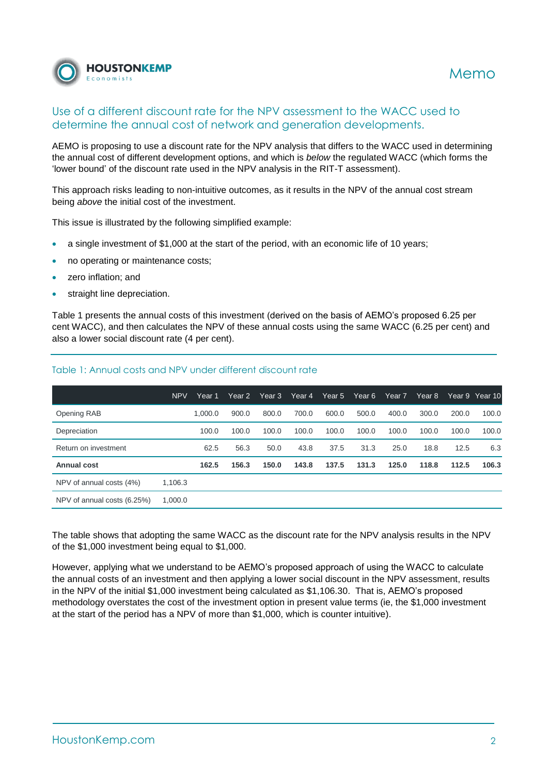

## Use of a different discount rate for the NPV assessment to the WACC used to determine the annual cost of network and generation developments.

AEMO is proposing to use a discount rate for the NPV analysis that differs to the WACC used in determining the annual cost of different development options, and which is *below* the regulated WACC (which forms the 'lower bound' of the discount rate used in the NPV analysis in the RIT-T assessment).

This approach risks leading to non-intuitive outcomes, as it results in the NPV of the annual cost stream being *above* the initial cost of the investment.

This issue is illustrated by the following simplified example:

- a single investment of \$1,000 at the start of the period, with an economic life of 10 years;
- no operating or maintenance costs;
- zero inflation; and
- straight line depreciation.

[Table 1](#page-1-0) presents the annual costs of this investment (derived on the basis of AEMO's proposed 6.25 per cent WACC), and then calculates the NPV of these annual costs using the same WACC (6.25 per cent) and also a lower social discount rate (4 per cent).

|                                        | <b>NPV</b> | Year 1  | Year 2 | Year 3 | Year 4 | Year 5 | Year 6 | Year 7 | Year 8 |       | Year 9 Year 10 |
|----------------------------------------|------------|---------|--------|--------|--------|--------|--------|--------|--------|-------|----------------|
| Opening RAB                            |            | 1.000.0 | 900.0  | 800.0  | 700.0  | 600.0  | 500.0  | 400.0  | 300.0  | 200.0 | 100.0          |
| Depreciation                           |            | 100.0   | 100.0  | 100.0  | 100.0  | 100.0  | 100.0  | 100.0  | 100.0  | 100.0 | 100.0          |
| Return on investment                   |            | 62.5    | 56.3   | 50.0   | 43.8   | 37.5   | 31.3   | 25.0   | 18.8   | 12.5  | 6.3            |
| Annual cost                            |            | 162.5   | 156.3  | 150.0  | 143.8  | 137.5  | 131.3  | 125.0  | 118.8  | 112.5 | 106.3          |
| NPV of annual costs (4%)               | 1.106.3    |         |        |        |        |        |        |        |        |       |                |
| 1.000.0<br>NPV of annual costs (6.25%) |            |         |        |        |        |        |        |        |        |       |                |

### <span id="page-1-0"></span>Table 1: Annual costs and NPV under different discount rate

The table shows that adopting the same WACC as the discount rate for the NPV analysis results in the NPV of the \$1,000 investment being equal to \$1,000.

However, applying what we understand to be AEMO's proposed approach of using the WACC to calculate the annual costs of an investment and then applying a lower social discount in the NPV assessment, results in the NPV of the initial \$1,000 investment being calculated as \$1,106.30. That is, AEMO's proposed methodology overstates the cost of the investment option in present value terms (ie, the \$1,000 investment at the start of the period has a NPV of more than \$1,000, which is counter intuitive).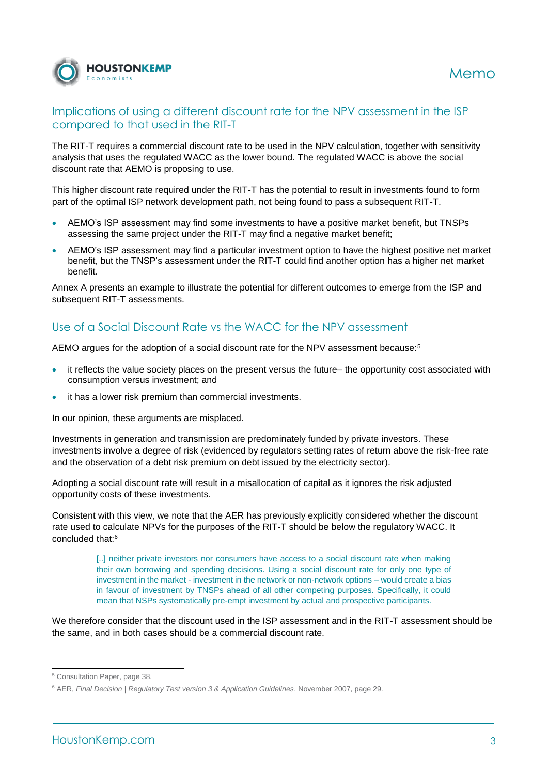

# Implications of using a different discount rate for the NPV assessment in the ISP compared to that used in the RIT-T

The RIT-T requires a commercial discount rate to be used in the NPV calculation, together with sensitivity analysis that uses the regulated WACC as the lower bound. The regulated WACC is above the social discount rate that AEMO is proposing to use.

This higher discount rate required under the RIT-T has the potential to result in investments found to form part of the optimal ISP network development path, not being found to pass a subsequent RIT-T.

- AEMO's ISP assessment may find some investments to have a positive market benefit, but TNSPs assessing the same project under the RIT-T may find a negative market benefit;
- AEMO's ISP assessment may find a particular investment option to have the highest positive net market benefit, but the TNSP's assessment under the RIT-T could find another option has a higher net market benefit.

Annex A presents an example to illustrate the potential for different outcomes to emerge from the ISP and subsequent RIT-T assessments.

# Use of a Social Discount Rate vs the WACC for the NPV assessment

AEMO argues for the adoption of a social discount rate for the NPV assessment because:<sup>5</sup>

- it reflects the value society places on the present versus the future– the opportunity cost associated with consumption versus investment; and
- it has a lower risk premium than commercial investments.

In our opinion, these arguments are misplaced.

Investments in generation and transmission are predominately funded by private investors. These investments involve a degree of risk (evidenced by regulators setting rates of return above the risk-free rate and the observation of a debt risk premium on debt issued by the electricity sector).

Adopting a social discount rate will result in a misallocation of capital as it ignores the risk adjusted opportunity costs of these investments.

Consistent with this view, we note that the AER has previously explicitly considered whether the discount rate used to calculate NPVs for the purposes of the RIT-T should be below the regulatory WACC. It concluded that:<sup>6</sup>

> [..] neither private investors nor consumers have access to a social discount rate when making their own borrowing and spending decisions. Using a social discount rate for only one type of investment in the market - investment in the network or non-network options – would create a bias in favour of investment by TNSPs ahead of all other competing purposes. Specifically, it could mean that NSPs systematically pre-empt investment by actual and prospective participants.

We therefore consider that the discount used in the ISP assessment and in the RIT-T assessment should be the same, and in both cases should be a commercial discount rate.

1

<sup>5</sup> Consultation Paper, page 38.

<sup>6</sup> AER, *Final Decision | Regulatory Test version 3 & Application Guidelines*, November 2007, page 29.